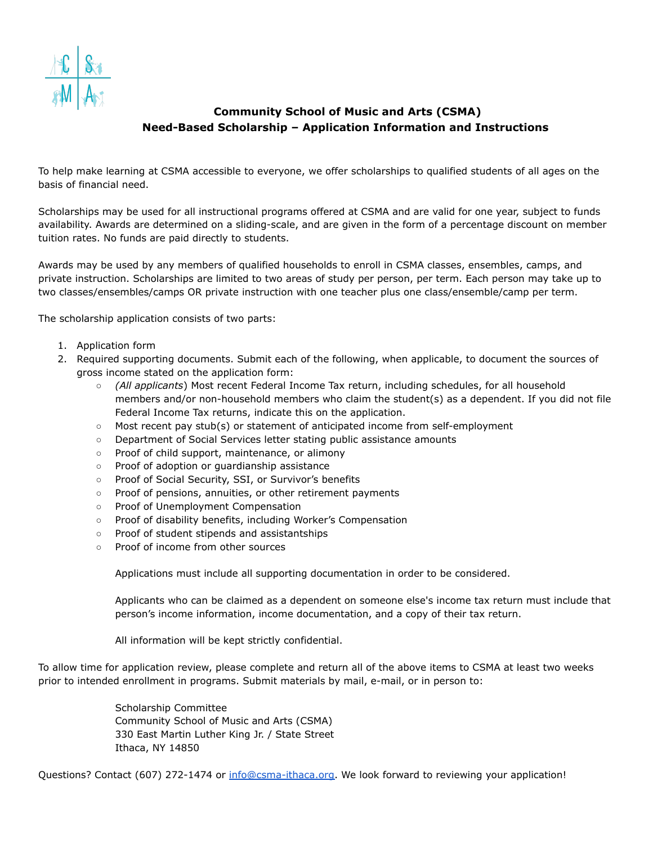

## **Community School of Music and Arts (CSMA) Need-Based Scholarship – Application Information and Instructions**

To help make learning at CSMA accessible to everyone, we offer scholarships to qualified students of all ages on the basis of financial need.

Scholarships may be used for all instructional programs offered at CSMA and are valid for one year, subject to funds availability. Awards are determined on a sliding-scale, and are given in the form of a percentage discount on member tuition rates. No funds are paid directly to students.

Awards may be used by any members of qualified households to enroll in CSMA classes, ensembles, camps, and private instruction. Scholarships are limited to two areas of study per person, per term. Each person may take up to two classes/ensembles/camps OR private instruction with one teacher plus one class/ensemble/camp per term.

The scholarship application consists of two parts:

- 1. Application form
- 2. Required supporting documents. Submit each of the following, when applicable, to document the sources of gross income stated on the application form:
	- *(All applicants*) Most recent Federal Income Tax return, including schedules, for all household members and/or non-household members who claim the student(s) as a dependent. If you did not file Federal Income Tax returns, indicate this on the application.
	- Most recent pay stub(s) or statement of anticipated income from self-employment
	- Department of Social Services letter stating public assistance amounts
	- Proof of child support, maintenance, or alimony
	- Proof of adoption or guardianship assistance
	- Proof of Social Security, SSI, or Survivor's benefits
	- Proof of pensions, annuities, or other retirement payments
	- Proof of Unemployment Compensation
	- Proof of disability benefits, including Worker's Compensation
	- Proof of student stipends and assistantships
	- Proof of income from other sources

Applications must include all supporting documentation in order to be considered.

Applicants who can be claimed as a dependent on someone else's income tax return must include that person's income information, income documentation, and a copy of their tax return.

All information will be kept strictly confidential.

To allow time for application review, please complete and return all of the above items to CSMA at least two weeks prior to intended enrollment in programs. Submit materials by mail, e-mail, or in person to:

> Scholarship Committee Community School of Music and Arts (CSMA) 330 East Martin Luther King Jr. / State Street Ithaca, NY 14850

Questions? Contact (607) 272-1474 or [info@csma-ithaca.org.](mailto:info@csma-ithaca.org) We look forward to reviewing your application!